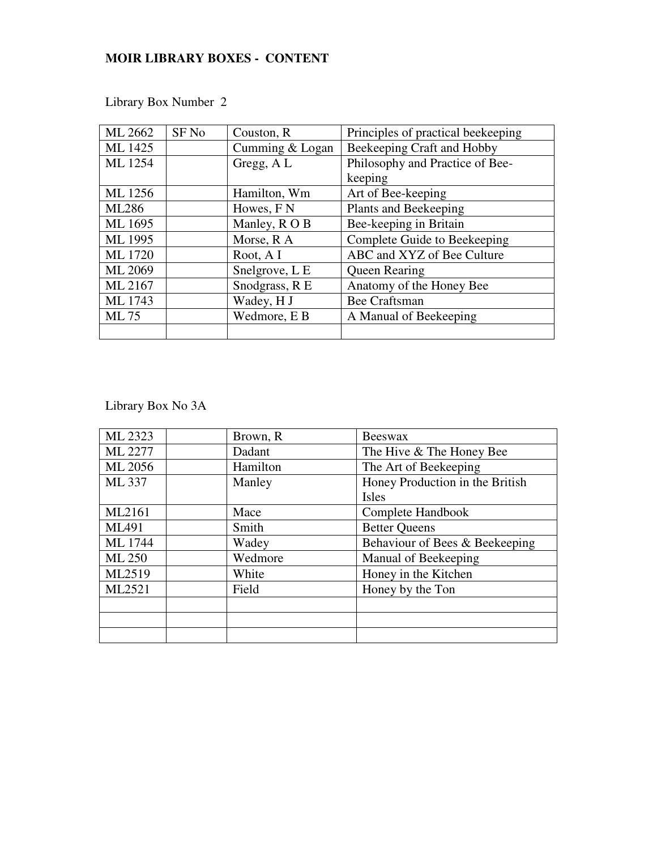## **MOIR LIBRARY BOXES - CONTENT**

| ML 2662        | SF <sub>No</sub> | Couston, R      | Principles of practical beekeeping |
|----------------|------------------|-----------------|------------------------------------|
| ML 1425        |                  | Cumming & Logan | Beekeeping Craft and Hobby         |
| ML 1254        |                  | Gregg, AL       | Philosophy and Practice of Bee-    |
|                |                  |                 | keeping                            |
| ML 1256        |                  | Hamilton, Wm    | Art of Bee-keeping                 |
| <b>ML286</b>   |                  | Howes, F N      | Plants and Beekeeping              |
| ML 1695        |                  | Manley, ROB     | Bee-keeping in Britain             |
| ML 1995        |                  | Morse, R A      | Complete Guide to Beekeeping       |
| <b>ML</b> 1720 |                  | Root, A I       | ABC and XYZ of Bee Culture         |
| ML 2069        |                  | Snelgrove, L E  | <b>Queen Rearing</b>               |
| ML 2167        |                  | Snodgrass, R E  | Anatomy of the Honey Bee           |
| ML 1743        |                  | Wadey, H J      | <b>Bee Craftsman</b>               |
| ML 75          |                  | Wedmore, E B    | A Manual of Beekeeping             |
|                |                  |                 |                                    |

Library Box Number 2

| ML 2323       | Brown, R | <b>Beeswax</b>                  |
|---------------|----------|---------------------------------|
| ML 2277       | Dadant   | The Hive & The Honey Bee        |
| ML 2056       | Hamilton | The Art of Beekeeping           |
| ML 337        | Manley   | Honey Production in the British |
|               |          | Isles                           |
| ML2161        | Mace     | Complete Handbook               |
| ML491         | Smith    | <b>Better Queens</b>            |
| ML 1744       | Wadey    | Behaviour of Bees & Beekeeping  |
| <b>ML 250</b> | Wedmore  | Manual of Beekeeping            |
| ML2519        | White    | Honey in the Kitchen            |
| ML2521        | Field    | Honey by the Ton                |
|               |          |                                 |
|               |          |                                 |
|               |          |                                 |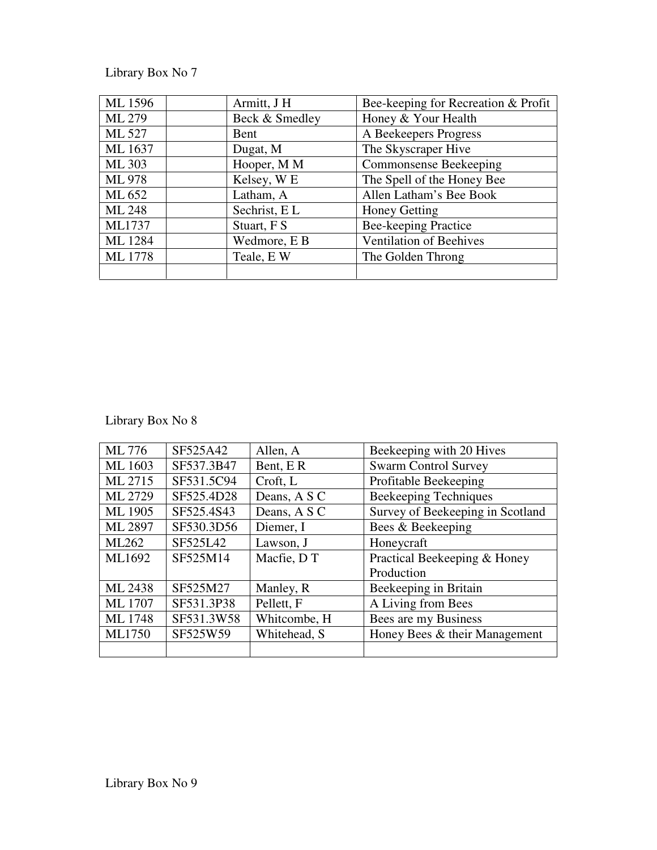| ML 1596        | Armitt, J H    | Bee-keeping for Recreation & Profit |
|----------------|----------------|-------------------------------------|
| ML 279         | Beck & Smedley | Honey & Your Health                 |
| ML 527         | Bent           | A Beekeepers Progress               |
| ML 1637        | Dugat, M       | The Skyscraper Hive                 |
| ML 303         | Hooper, M M    | Commonsense Beekeeping              |
| <b>ML 978</b>  | Kelsey, WE     | The Spell of the Honey Bee          |
| ML 652         | Latham, A      | Allen Latham's Bee Book             |
| <b>ML 248</b>  | Sechrist, EL   | <b>Honey Getting</b>                |
| ML1737         | Stuart, F S    | <b>Bee-keeping Practice</b>         |
| ML 1284        | Wedmore, E B   | Ventilation of Beehives             |
| <b>ML</b> 1778 | Teale, EW      | The Golden Throng                   |
|                |                |                                     |

| ML 776         | SF525A42   | Allen, A     | Beekeeping with 20 Hives         |
|----------------|------------|--------------|----------------------------------|
| ML 1603        | SF537.3B47 | Bent, ER     | <b>Swarm Control Survey</b>      |
| ML 2715        | SF531.5C94 | Croft, L     | Profitable Beekeeping            |
| ML 2729        | SF525.4D28 | Deans, A S C | Beekeeping Techniques            |
| ML 1905        | SF525.4S43 | Deans, A S C | Survey of Beekeeping in Scotland |
| ML 2897        | SF530.3D56 | Diemer, I    | Bees & Beekeeping                |
| ML262          | SF525L42   | Lawson, J    | Honeycraft                       |
| ML1692         | SF525M14   | Macfie, DT   | Practical Beekeeping & Honey     |
|                |            |              | Production                       |
| ML 2438        | SF525M27   | Manley, R    | Beekeeping in Britain            |
| <b>ML</b> 1707 | SF531.3P38 | Pellett, F   | A Living from Bees               |
| <b>ML</b> 1748 | SF531.3W58 | Whitcombe, H | Bees are my Business             |
| ML1750         | SF525W59   | Whitehead, S | Honey Bees & their Management    |
|                |            |              |                                  |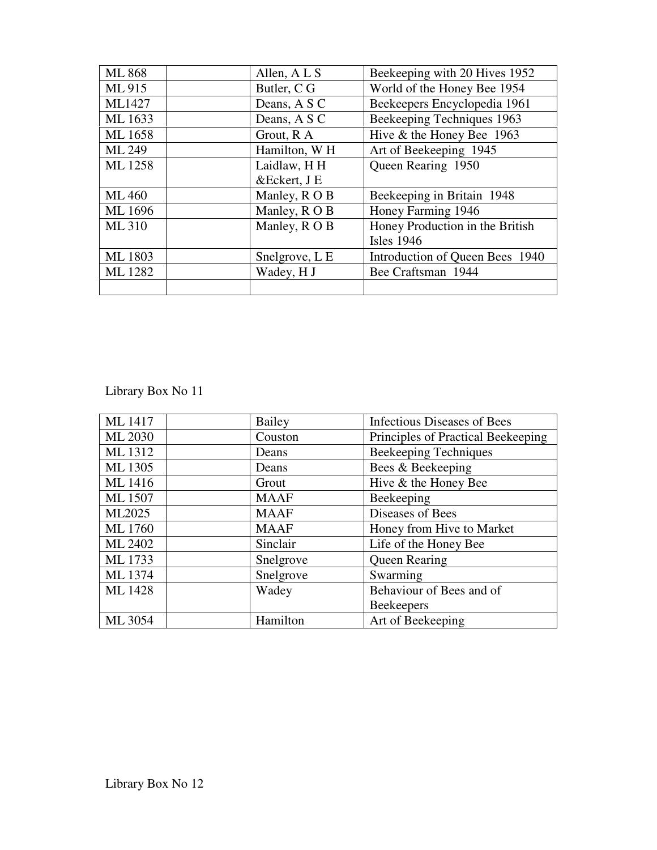| <b>ML 868</b> | Allen, A L S             | Beekeeping with 20 Hives 1952   |
|---------------|--------------------------|---------------------------------|
| ML 915        | Butler, C G              | World of the Honey Bee 1954     |
| ML1427        | Deans, A S C             | Beekeepers Encyclopedia 1961    |
| ML 1633       | Deans, A S C             | Beekeeping Techniques 1963      |
| ML 1658       | Grout, R A               | Hive & the Honey Bee 1963       |
| ML 249        | Hamilton, W <sub>H</sub> | Art of Beekeeping 1945          |
| ML 1258       | Laidlaw, HH              | Queen Rearing 1950              |
|               | &Eckert, J E             |                                 |
| ML 460        | Manley, R O B            | Beekeeping in Britain 1948      |
| ML 1696       | Manley, R O B            | Honey Farming 1946              |
| ML 310        | Manley, ROB              | Honey Production in the British |
|               |                          | <b>Isles</b> 1946               |
| ML 1803       | Snelgrove, L E           | Introduction of Queen Bees 1940 |
| ML 1282       | Wadey, H J               | Bee Craftsman 1944              |
|               |                          |                                 |

| ML 1417        | Bailey      | Infectious Diseases of Bees        |
|----------------|-------------|------------------------------------|
| ML 2030        | Couston     | Principles of Practical Beekeeping |
| ML 1312        | Deans       | <b>Beekeeping Techniques</b>       |
| ML 1305        | Deans       | Bees & Beekeeping                  |
| ML 1416        | Grout       | Hive & the Honey Bee               |
| ML 1507        | <b>MAAF</b> | Beekeeping                         |
| ML2025         | <b>MAAF</b> | Diseases of Bees                   |
| <b>ML</b> 1760 | <b>MAAF</b> | Honey from Hive to Market          |
| ML 2402        | Sinclair    | Life of the Honey Bee              |
| ML 1733        | Snelgrove   | <b>Queen Rearing</b>               |
| ML 1374        | Snelgrove   | Swarming                           |
| ML 1428        | Wadey       | Behaviour of Bees and of           |
|                |             | <b>Beekeepers</b>                  |
| ML 3054        | Hamilton    | Art of Beekeeping                  |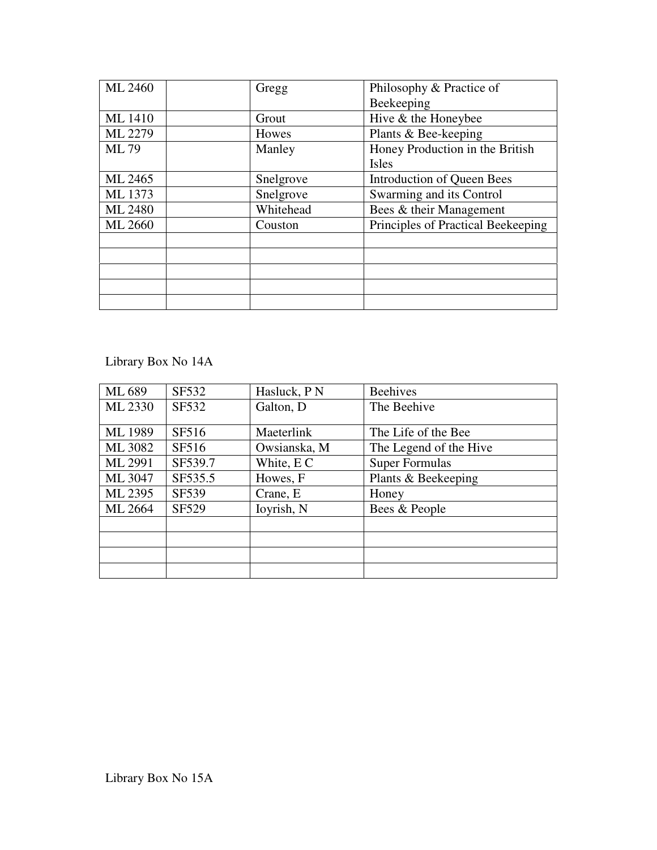| ML 2460        | Gregg     | Philosophy & Practice of           |
|----------------|-----------|------------------------------------|
|                |           | Beekeeping                         |
| <b>ML</b> 1410 | Grout     | Hive & the Honeybee                |
| ML 2279        | Howes     | Plants & Bee-keeping               |
| ML 79          | Manley    | Honey Production in the British    |
|                |           | <b>Isles</b>                       |
| ML 2465        | Snelgrove | Introduction of Queen Bees         |
| ML 1373        | Snelgrove | Swarming and its Control           |
| ML 2480        | Whitehead | Bees & their Management            |
| ML 2660        | Couston   | Principles of Practical Beekeeping |
|                |           |                                    |
|                |           |                                    |
|                |           |                                    |
|                |           |                                    |
|                |           |                                    |

Library Box No 14A

| ML 689         | SF532   | Hasluck, P N | <b>Beehives</b>        |
|----------------|---------|--------------|------------------------|
| ML 2330        | SF532   | Galton, D    | The Beehive            |
| <b>ML 1989</b> | SF516   | Maeterlink   | The Life of the Bee    |
| ML 3082        | SF516   | Owsianska, M | The Legend of the Hive |
| ML 2991        | SF539.7 | White, EC    | <b>Super Formulas</b>  |
| ML 3047        | SF535.5 | Howes, F     | Plants & Beekeeping    |
| ML 2395        | SF539   | Crane, E     | Honey                  |
| ML 2664        | SF529   | Ioyrish, N   | Bees & People          |
|                |         |              |                        |
|                |         |              |                        |
|                |         |              |                        |
|                |         |              |                        |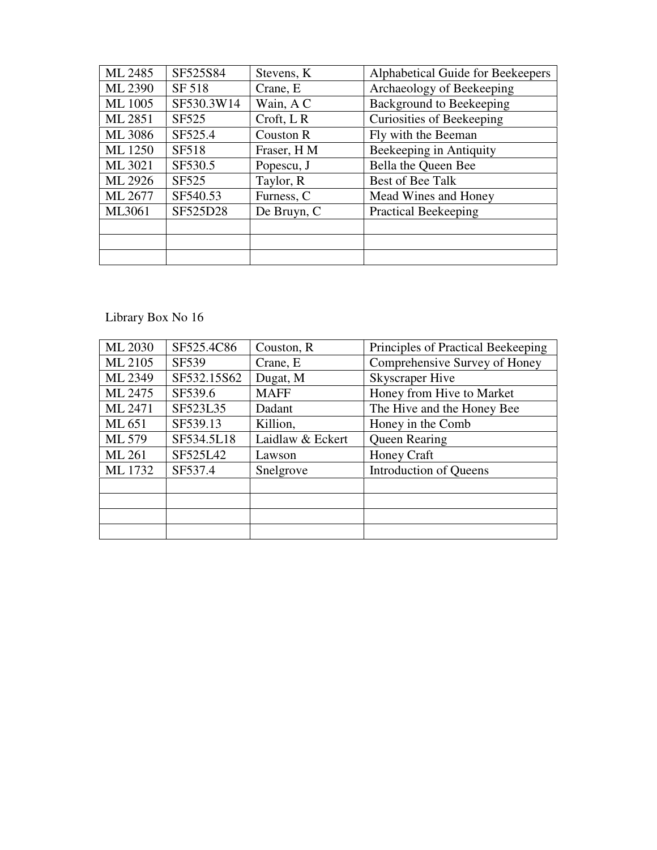| ML 2485        | SF525S84     | Stevens, K       | Alphabetical Guide for Beekeepers |
|----------------|--------------|------------------|-----------------------------------|
| ML 2390        | SF 518       | Crane, E         | Archaeology of Beekeeping         |
| <b>ML</b> 1005 | SF530.3W14   | Wain, A C        | Background to Beekeeping          |
| ML 2851        | SF525        | $Crott$ , LR     | Curiosities of Beekeeping         |
| ML 3086        | SF525.4      | <b>Couston R</b> | Fly with the Beeman               |
| ML 1250        | <b>SF518</b> | Fraser, H M      | Beekeeping in Antiquity           |
| ML 3021        | SF530.5      | Popescu, J       | Bella the Queen Bee               |
| ML 2926        | SF525        | Taylor, R        | Best of Bee Talk                  |
| ML 2677        | SF540.53     | Furness, C       | Mead Wines and Honey              |
| ML3061         | SF525D28     | De Bruyn, C      | <b>Practical Beekeeping</b>       |
|                |              |                  |                                   |
|                |              |                  |                                   |
|                |              |                  |                                   |

| ML 2030 | SF525.4C86  | Couston, R       | Principles of Practical Beekeeping |
|---------|-------------|------------------|------------------------------------|
| ML 2105 | SF539       | Crane, E         | Comprehensive Survey of Honey      |
| ML 2349 | SF532.15S62 | Dugat, M         | <b>Skyscraper Hive</b>             |
| ML 2475 | SF539.6     | <b>MAFF</b>      | Honey from Hive to Market          |
| ML 2471 | SF523L35    | Dadant           | The Hive and the Honey Bee         |
| ML 651  | SF539.13    | Killion,         | Honey in the Comb                  |
| ML 579  | SF534.5L18  | Laidlaw & Eckert | <b>Queen Rearing</b>               |
| ML 261  | SF525L42    | Lawson           | Honey Craft                        |
| ML 1732 | SF537.4     | Snelgrove        | Introduction of Queens             |
|         |             |                  |                                    |
|         |             |                  |                                    |
|         |             |                  |                                    |
|         |             |                  |                                    |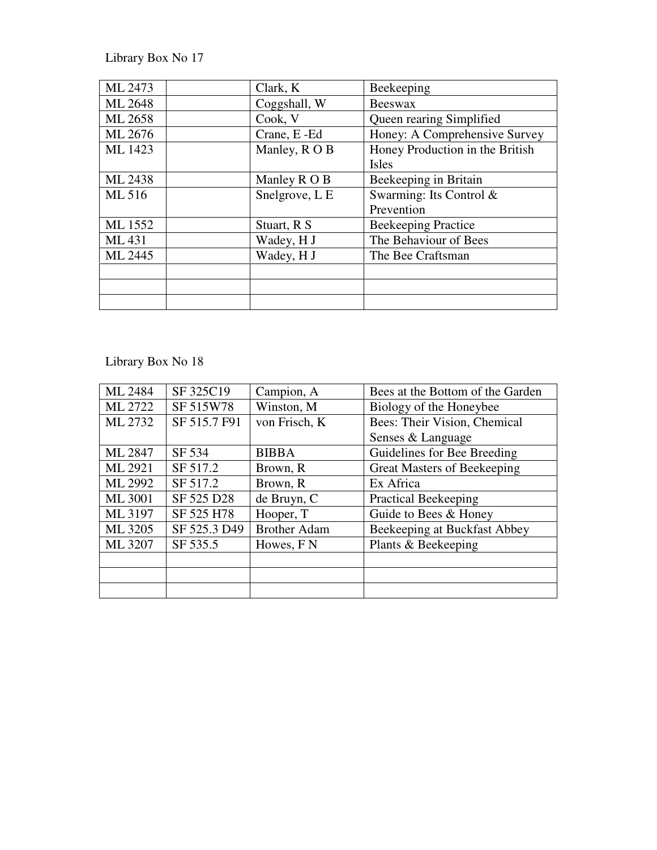| ML 2473 | Clark, K       | Beekeeping                      |
|---------|----------------|---------------------------------|
| ML 2648 | Coggshall, W   | Beeswax                         |
| ML 2658 | Cook, V        | Queen rearing Simplified        |
| ML 2676 | Crane, E-Ed    | Honey: A Comprehensive Survey   |
| ML 1423 | Manley, R O B  | Honey Production in the British |
|         |                | Isles                           |
| ML 2438 | Manley R O B   | Beekeeping in Britain           |
| ML 516  | Snelgrove, L E | Swarming: Its Control &         |
|         |                | Prevention                      |
| ML 1552 | Stuart, R S    | <b>Beekeeping Practice</b>      |
| ML 431  | Wadey, H J     | The Behaviour of Bees           |
| ML 2445 | Wadey, H J     | The Bee Craftsman               |
|         |                |                                 |
|         |                |                                 |
|         |                |                                 |

| ML 2484 | SF 325C19    | Campion, A            | Bees at the Bottom of the Garden |
|---------|--------------|-----------------------|----------------------------------|
| ML 2722 | SF 515W78    | Winston, M            | Biology of the Honeybee          |
| ML 2732 | SF 515.7 F91 | von Frisch, K         | Bees: Their Vision, Chemical     |
|         |              |                       | Senses & Language                |
| ML 2847 | SF 534       | <b>BIBBA</b>          | Guidelines for Bee Breeding      |
| ML 2921 | SF 517.2     | Brown, R              | Great Masters of Beekeeping      |
| ML 2992 | SF 517.2     | Brown, R              | Ex Africa                        |
| ML 3001 | SF 525 D28   | de Bruyn, C           | <b>Practical Beekeeping</b>      |
| ML 3197 | SF 525 H78   | Hooper, T             | Guide to Bees & Honey            |
| ML 3205 | SF 525.3 D49 | <b>Brother Adam</b>   | Beekeeping at Buckfast Abbey     |
| ML 3207 | SF 535.5     | Howes, F <sub>N</sub> | Plants & Beekeeping              |
|         |              |                       |                                  |
|         |              |                       |                                  |
|         |              |                       |                                  |